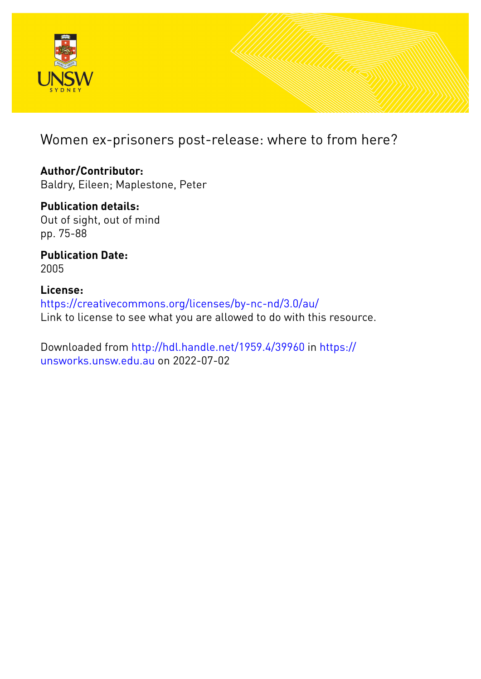

Women ex-prisoners post-release: where to from here?

**Author/Contributor:** Baldry, Eileen; Maplestone, Peter

**Publication details:** Out of sight, out of mind pp. 75-88

**Publication Date:** 2005

**License:** <https://creativecommons.org/licenses/by-nc-nd/3.0/au/> Link to license to see what you are allowed to do with this resource.

Downloaded from <http://hdl.handle.net/1959.4/39960> in [https://](https://unsworks.unsw.edu.au) [unsworks.unsw.edu.au](https://unsworks.unsw.edu.au) on 2022-07-02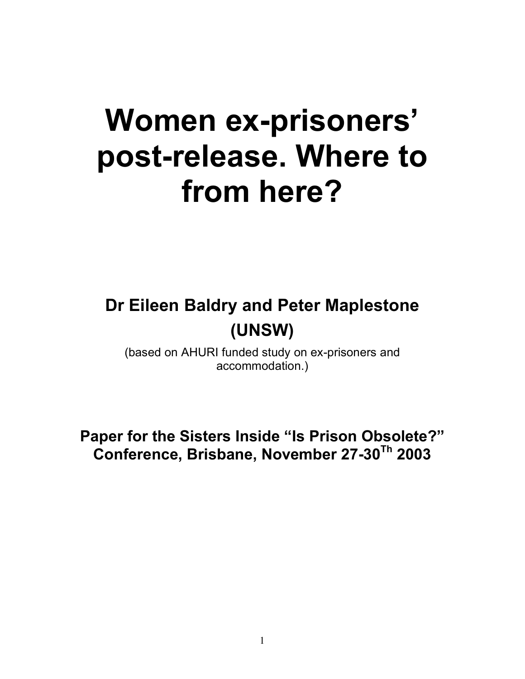# **Women ex-prisoners' post-release. Where to from here?**

# **Dr Eileen Baldry and Peter Maplestone (UNSW)**

(based on AHURI funded study on ex-prisoners and accommodation.)

**Paper for the Sisters Inside "Is Prison Obsolete?" Conference, Brisbane, November 27-30Th 2003**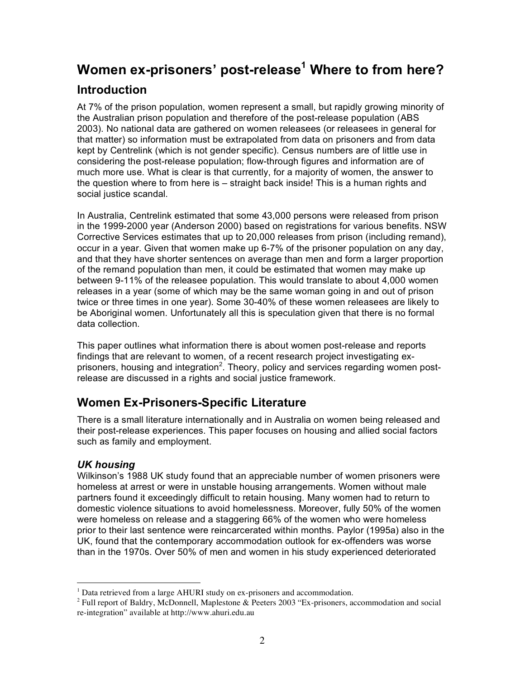# **Women ex-prisoners' post-release<sup>1</sup> Where to from here? Introduction**

At 7% of the prison population, women represent a small, but rapidly growing minority of the Australian prison population and therefore of the post-release population (ABS 2003). No national data are gathered on women releasees (or releasees in general for that matter) so information must be extrapolated from data on prisoners and from data kept by Centrelink (which is not gender specific). Census numbers are of little use in considering the post-release population; flow-through figures and information are of much more use. What is clear is that currently, for a majority of women, the answer to the question where to from here is – straight back inside! This is a human rights and social justice scandal.

In Australia, Centrelink estimated that some 43,000 persons were released from prison in the 1999-2000 year (Anderson 2000) based on registrations for various benefits. NSW Corrective Services estimates that up to 20,000 releases from prison (including remand), occur in a year. Given that women make up 6-7% of the prisoner population on any day, and that they have shorter sentences on average than men and form a larger proportion of the remand population than men, it could be estimated that women may make up between 9-11% of the releasee population. This would translate to about 4,000 women releases in a year (some of which may be the same woman going in and out of prison twice or three times in one year). Some 30-40% of these women releasees are likely to be Aboriginal women. Unfortunately all this is speculation given that there is no formal data collection.

This paper outlines what information there is about women post-release and reports findings that are relevant to women, of a recent research project investigating exprisoners, housing and integration<sup>2</sup>. Theory, policy and services regarding women postrelease are discussed in a rights and social justice framework.

# **Women Ex-Prisoners-Specific Literature**

There is a small literature internationally and in Australia on women being released and their post-release experiences. This paper focuses on housing and allied social factors such as family and employment.

#### *UK housing*

Wilkinson's 1988 UK study found that an appreciable number of women prisoners were homeless at arrest or were in unstable housing arrangements. Women without male partners found it exceedingly difficult to retain housing. Many women had to return to domestic violence situations to avoid homelessness. Moreover, fully 50% of the women were homeless on release and a staggering 66% of the women who were homeless prior to their last sentence were reincarcerated within months. Paylor (1995a) also in the UK, found that the contemporary accommodation outlook for ex-offenders was worse than in the 1970s. Over 50% of men and women in his study experienced deteriorated

<sup>&</sup>lt;sup>1</sup> Data retrieved from a large AHURI study on ex-prisoners and accommodation.

<sup>2</sup> Full report of Baldry, McDonnell, Maplestone & Peeters 2003 "Ex-prisoners, accommodation and social re-integration" available at http://www.ahuri.edu.au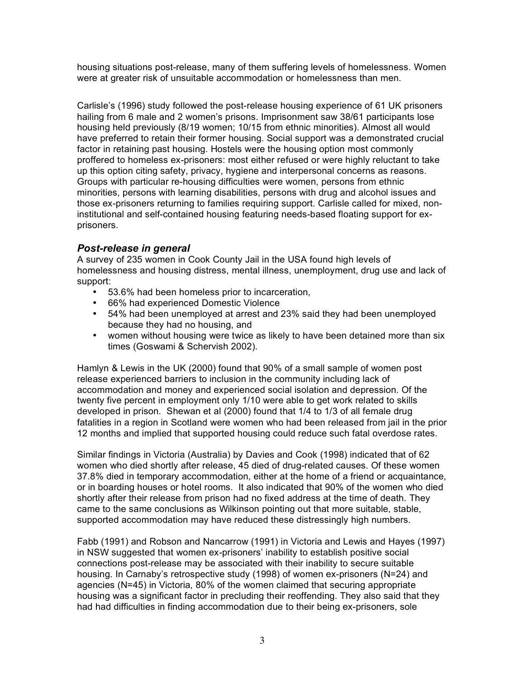housing situations post-release, many of them suffering levels of homelessness. Women were at greater risk of unsuitable accommodation or homelessness than men.

Carlisle's (1996) study followed the post-release housing experience of 61 UK prisoners hailing from 6 male and 2 women's prisons. Imprisonment saw 38/61 participants lose housing held previously (8/19 women; 10/15 from ethnic minorities). Almost all would have preferred to retain their former housing. Social support was a demonstrated crucial factor in retaining past housing. Hostels were the housing option most commonly proffered to homeless ex-prisoners: most either refused or were highly reluctant to take up this option citing safety, privacy, hygiene and interpersonal concerns as reasons. Groups with particular re-housing difficulties were women, persons from ethnic minorities, persons with learning disabilities, persons with drug and alcohol issues and those ex-prisoners returning to families requiring support. Carlisle called for mixed, noninstitutional and self-contained housing featuring needs-based floating support for exprisoners.

#### *Post-release in general*

A survey of 235 women in Cook County Jail in the USA found high levels of homelessness and housing distress, mental illness, unemployment, drug use and lack of support:

- 53.6% had been homeless prior to incarceration,
- 66% had experienced Domestic Violence
- 54% had been unemployed at arrest and 23% said they had been unemployed because they had no housing, and
- women without housing were twice as likely to have been detained more than six times (Goswami & Schervish 2002).

Hamlyn & Lewis in the UK (2000) found that 90% of a small sample of women post release experienced barriers to inclusion in the community including lack of accommodation and money and experienced social isolation and depression. Of the twenty five percent in employment only 1/10 were able to get work related to skills developed in prison. Shewan et al (2000) found that 1/4 to 1/3 of all female drug fatalities in a region in Scotland were women who had been released from jail in the prior 12 months and implied that supported housing could reduce such fatal overdose rates.

Similar findings in Victoria (Australia) by Davies and Cook (1998) indicated that of 62 women who died shortly after release, 45 died of drug-related causes. Of these women 37.8% died in temporary accommodation, either at the home of a friend or acquaintance, or in boarding houses or hotel rooms. It also indicated that 90% of the women who died shortly after their release from prison had no fixed address at the time of death. They came to the same conclusions as Wilkinson pointing out that more suitable, stable, supported accommodation may have reduced these distressingly high numbers.

Fabb (1991) and Robson and Nancarrow (1991) in Victoria and Lewis and Hayes (1997) in NSW suggested that women ex-prisoners' inability to establish positive social connections post-release may be associated with their inability to secure suitable housing. In Carnaby's retrospective study (1998) of women ex-prisoners (N=24) and agencies (N=45) in Victoria, 80% of the women claimed that securing appropriate housing was a significant factor in precluding their reoffending. They also said that they had had difficulties in finding accommodation due to their being ex-prisoners, sole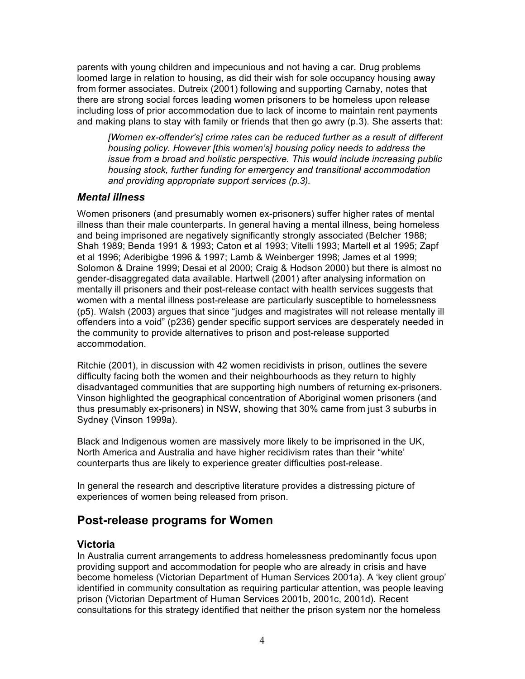parents with young children and impecunious and not having a car. Drug problems loomed large in relation to housing, as did their wish for sole occupancy housing away from former associates. Dutreix (2001) following and supporting Carnaby, notes that there are strong social forces leading women prisoners to be homeless upon release including loss of prior accommodation due to lack of income to maintain rent payments and making plans to stay with family or friends that then go awry (p.3). She asserts that:

*[Women ex-offender's] crime rates can be reduced further as a result of different housing policy. However [this women's] housing policy needs to address the issue from a broad and holistic perspective. This would include increasing public housing stock, further funding for emergency and transitional accommodation and providing appropriate support services (p.3).*

#### *Mental illness*

Women prisoners (and presumably women ex-prisoners) suffer higher rates of mental illness than their male counterparts. In general having a mental illness, being homeless and being imprisoned are negatively significantly strongly associated (Belcher 1988; Shah 1989; Benda 1991 & 1993; Caton et al 1993; Vitelli 1993; Martell et al 1995; Zapf et al 1996; Aderibigbe 1996 & 1997; Lamb & Weinberger 1998; James et al 1999; Solomon & Draine 1999; Desai et al 2000; Craig & Hodson 2000) but there is almost no gender-disaggregated data available. Hartwell (2001) after analysing information on mentally ill prisoners and their post-release contact with health services suggests that women with a mental illness post-release are particularly susceptible to homelessness (p5). Walsh (2003) argues that since "judges and magistrates will not release mentally ill offenders into a void" (p236) gender specific support services are desperately needed in the community to provide alternatives to prison and post-release supported accommodation.

Ritchie (2001), in discussion with 42 women recidivists in prison, outlines the severe difficulty facing both the women and their neighbourhoods as they return to highly disadvantaged communities that are supporting high numbers of returning ex-prisoners. Vinson highlighted the geographical concentration of Aboriginal women prisoners (and thus presumably ex-prisoners) in NSW, showing that 30% came from just 3 suburbs in Sydney (Vinson 1999a).

Black and Indigenous women are massively more likely to be imprisoned in the UK, North America and Australia and have higher recidivism rates than their "white' counterparts thus are likely to experience greater difficulties post-release.

In general the research and descriptive literature provides a distressing picture of experiences of women being released from prison.

## **Post-release programs for Women**

#### **Victoria**

In Australia current arrangements to address homelessness predominantly focus upon providing support and accommodation for people who are already in crisis and have become homeless (Victorian Department of Human Services 2001a). A 'key client group' identified in community consultation as requiring particular attention, was people leaving prison (Victorian Department of Human Services 2001b, 2001c, 2001d). Recent consultations for this strategy identified that neither the prison system nor the homeless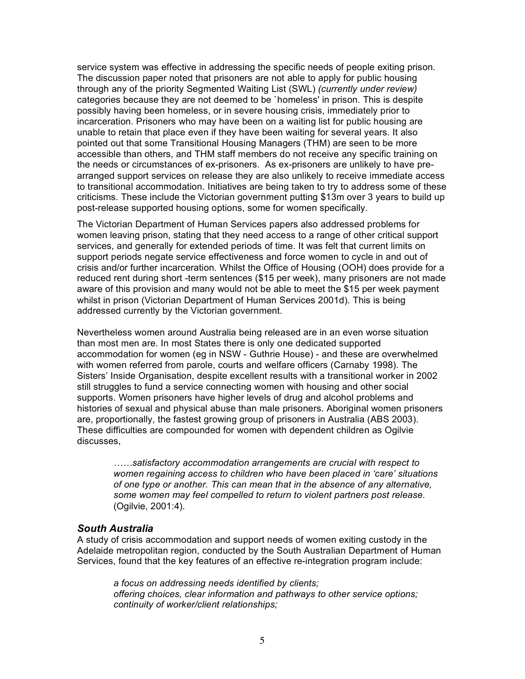service system was effective in addressing the specific needs of people exiting prison. The discussion paper noted that prisoners are not able to apply for public housing through any of the priority Segmented Waiting List (SWL) *(currently under review)*  categories because they are not deemed to be `homeless' in prison. This is despite possibly having been homeless, or in severe housing crisis, immediately prior to incarceration. Prisoners who may have been on a waiting list for public housing are unable to retain that place even if they have been waiting for several years. It also pointed out that some Transitional Housing Managers (THM) are seen to be more accessible than others, and THM staff members do not receive any specific training on the needs or circumstances of ex-prisoners. As ex-prisoners are unlikely to have prearranged support services on release they are also unlikely to receive immediate access to transitional accommodation. Initiatives are being taken to try to address some of these criticisms. These include the Victorian government putting \$13m over 3 years to build up post-release supported housing options, some for women specifically.

The Victorian Department of Human Services papers also addressed problems for women leaving prison, stating that they need access to a range of other critical support services, and generally for extended periods of time. It was felt that current limits on support periods negate service effectiveness and force women to cycle in and out of crisis and/or further incarceration. Whilst the Office of Housing (OOH) does provide for a reduced rent during short -term sentences (\$15 per week), many prisoners are not made aware of this provision and many would not be able to meet the \$15 per week payment whilst in prison (Victorian Department of Human Services 2001d). This is being addressed currently by the Victorian government.

Nevertheless women around Australia being released are in an even worse situation than most men are. In most States there is only one dedicated supported accommodation for women (eg in NSW - Guthrie House) - and these are overwhelmed with women referred from parole, courts and welfare officers (Carnaby 1998). The Sisters' Inside Organisation, despite excellent results with a transitional worker in 2002 still struggles to fund a service connecting women with housing and other social supports. Women prisoners have higher levels of drug and alcohol problems and histories of sexual and physical abuse than male prisoners. Aboriginal women prisoners are, proportionally, the fastest growing group of prisoners in Australia (ABS 2003). These difficulties are compounded for women with dependent children as Ogilvie discusses,

*……satisfactory accommodation arrangements are crucial with respect to women regaining access to children who have been placed in 'care' situations of one type or another. This can mean that in the absence of any alternative, some women may feel compelled to return to violent partners post release*. (Ogilvie, 2001:4).

#### *South Australia*

A study of crisis accommodation and support needs of women exiting custody in the Adelaide metropolitan region, conducted by the South Australian Department of Human Services, found that the key features of an effective re-integration program include:

*a focus on addressing needs identified by clients; offering choices, clear information and pathways to other service options; continuity of worker/client relationships;*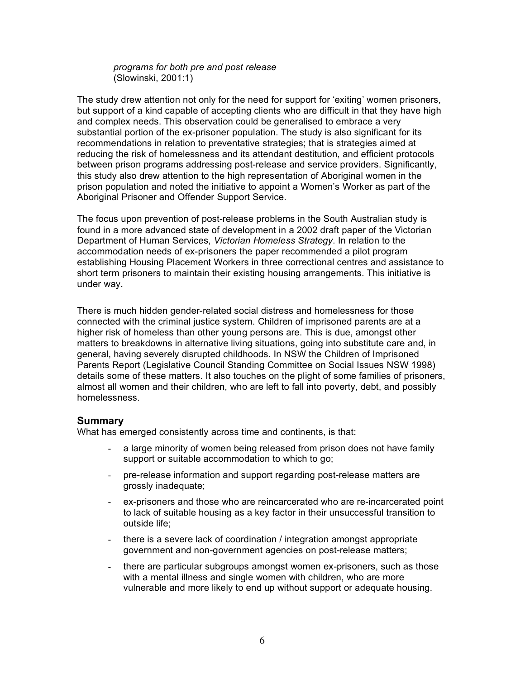*programs for both pre and post release* (Slowinski, 2001:1)

The study drew attention not only for the need for support for 'exiting' women prisoners, but support of a kind capable of accepting clients who are difficult in that they have high and complex needs. This observation could be generalised to embrace a very substantial portion of the ex-prisoner population. The study is also significant for its recommendations in relation to preventative strategies; that is strategies aimed at reducing the risk of homelessness and its attendant destitution, and efficient protocols between prison programs addressing post-release and service providers. Significantly, this study also drew attention to the high representation of Aboriginal women in the prison population and noted the initiative to appoint a Women's Worker as part of the Aboriginal Prisoner and Offender Support Service.

The focus upon prevention of post-release problems in the South Australian study is found in a more advanced state of development in a 2002 draft paper of the Victorian Department of Human Services, *Victorian Homeless Strategy*. In relation to the accommodation needs of ex-prisoners the paper recommended a pilot program establishing Housing Placement Workers in three correctional centres and assistance to short term prisoners to maintain their existing housing arrangements. This initiative is under way.

There is much hidden gender-related social distress and homelessness for those connected with the criminal justice system. Children of imprisoned parents are at a higher risk of homeless than other young persons are. This is due, amongst other matters to breakdowns in alternative living situations, going into substitute care and, in general, having severely disrupted childhoods. In NSW the Children of Imprisoned Parents Report (Legislative Council Standing Committee on Social Issues NSW 1998) details some of these matters. It also touches on the plight of some families of prisoners, almost all women and their children, who are left to fall into poverty, debt, and possibly homelessness.

#### **Summary**

What has emerged consistently across time and continents, is that:

- a large minority of women being released from prison does not have family support or suitable accommodation to which to go;
- pre-release information and support regarding post-release matters are grossly inadequate;
- ex-prisoners and those who are reincarcerated who are re-incarcerated point to lack of suitable housing as a key factor in their unsuccessful transition to outside life;
- there is a severe lack of coordination / integration amongst appropriate government and non-government agencies on post-release matters;
- there are particular subgroups amongst women ex-prisoners, such as those with a mental illness and single women with children, who are more vulnerable and more likely to end up without support or adequate housing.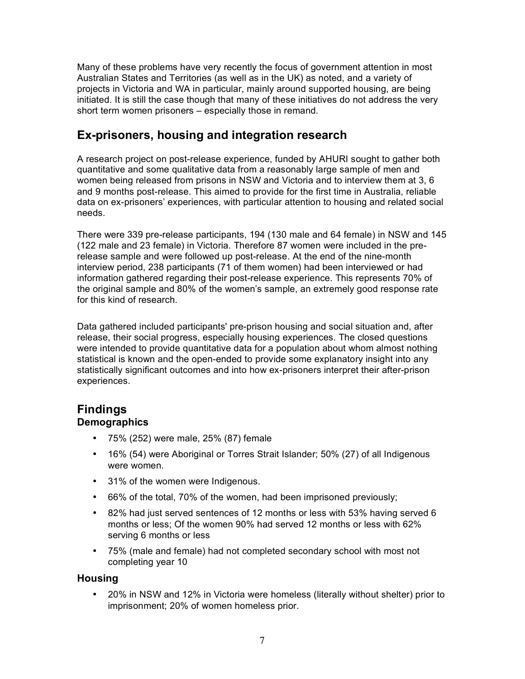Many of these problems have very recently the focus of government attention in most Australian States and Territories (as well as in the UK) as noted, and a variety of projects in Victoria and WA in particular, mainly around supported housing, are being initiated. It is still the case though that many of these initiatives do not address the very short term women prisoners – especially those in remand.

# **Ex-prisoners, housing and integration research**

A research project on post-release experience, funded by AHURI sought to gather both quantitative and some qualitative data from a reasonably large sample of men and women being released from prisons in NSW and Victoria and to interview them at 3, 6 and 9 months post-release. This aimed to provide for the first time in Australia, reliable data on ex-prisoners' experiences, with particular attention to housing and related social needs.

There were 339 pre-release participants, 194 (130 male and 64 female) in NSW and 145 (122 male and 23 female) in Victoria. Therefore 87 women were included in the prerelease sample and were followed up post-release. At the end of the nine-month interview period, 238 participants (71 of them women) had been interviewed or had information gathered regarding their post-release experience. This represents 70% of the original sample and 80% of the women's sample, an extremely good response rate for this kind of research.

Data gathered included participants' pre-prison housing and social situation and, after release, their social progress, especially housing experiences. The closed questions were intended to provide quantitative data for a population about whom almost nothing statistical is known and the open-ended to provide some explanatory insight into any statistically significant outcomes and into how ex-prisoners interpret their after-prison experiences.

# **Findings**

#### **Demographics**

- 75% (252) were male, 25% (87) female
- 16% (54) were Aboriginal or Torres Strait Islander; 50% (27) of all Indigenous were women.
- 31% of the women were Indigenous.
- 66% of the total, 70% of the women, had been imprisoned previously;
- 82% had just served sentences of 12 months or less with 53% having served 6 months or less; Of the women 90% had served 12 months or less with 62% serving 6 months or less
- 75% (male and female) had not completed secondary school with most not completing year 10

#### **Housing**

• 20% in NSW and 12% in Victoria were homeless (literally without shelter) prior to imprisonment; 20% of women homeless prior.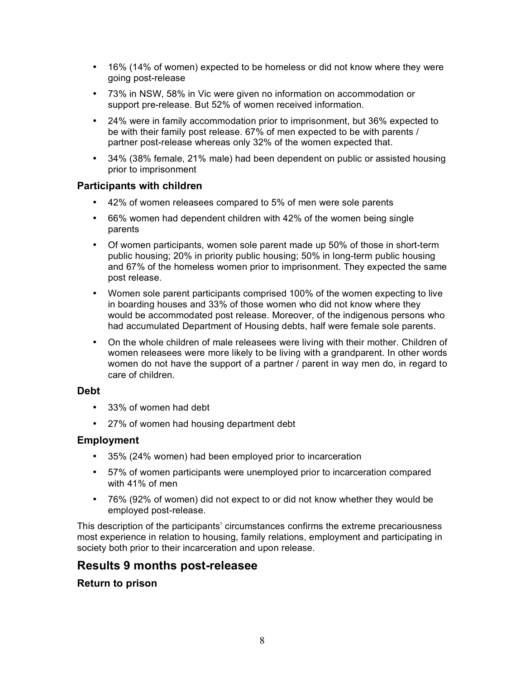- 16% (14% of women) expected to be homeless or did not know where they were going post-release
- 73% in NSW, 58% in Vic were given no information on accommodation or support pre-release. But 52% of women received information.
- 24% were in family accommodation prior to imprisonment, but 36% expected to be with their family post release. 67% of men expected to be with parents / partner post-release whereas only 32% of the women expected that.
- 34% (38% female, 21% male) had been dependent on public or assisted housing prior to imprisonment

#### **Participants with children**

- 42% of women releasees compared to 5% of men were sole parents
- 66% women had dependent children with 42% of the women being single parents
- Of women participants, women sole parent made up 50% of those in short-term public housing; 20% in priority public housing; 50% in long-term public housing and 67% of the homeless women prior to imprisonment. They expected the same post release.
- Women sole parent participants comprised 100% of the women expecting to live in boarding houses and 33% of those women who did not know where they would be accommodated post release. Moreover, of the indigenous persons who had accumulated Department of Housing debts, half were female sole parents.
- On the whole children of male releasees were living with their mother. Children of women releasees were more likely to be living with a grandparent. In other words women do not have the support of a partner / parent in way men do, in regard to care of children.

#### **Debt**

- 33% of women had debt
- 27% of women had housing department debt

#### **Employment**

- 35% (24% women) had been employed prior to incarceration
- 57% of women participants were unemployed prior to incarceration compared with 41% of men
- 76% (92% of women) did not expect to or did not know whether they would be employed post-release.

This description of the participants' circumstances confirms the extreme precariousness most experience in relation to housing, family relations, employment and participating in society both prior to their incarceration and upon release.

#### **Results 9 months post-releasee**

#### **Return to prison**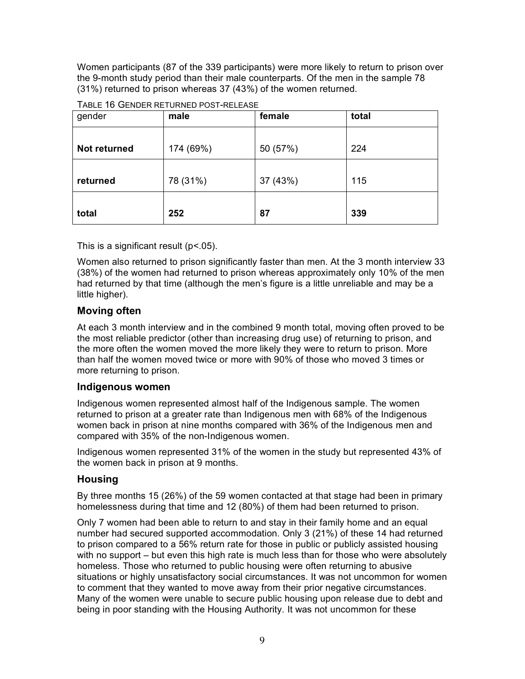Women participants (87 of the 339 participants) were more likely to return to prison over the 9-month study period than their male counterparts. Of the men in the sample 78 (31%) returned to prison whereas 37 (43%) of the women returned.

| gender       | male      | female   | total |
|--------------|-----------|----------|-------|
| Not returned | 174 (69%) | 50 (57%) | 224   |
| returned     | 78 (31%)  | 37 (43%) | 115   |
| total        | 252       | 87       | 339   |

|  | TABLE 16 GENDER RETURNED POST-RELEASE |
|--|---------------------------------------|
|--|---------------------------------------|

This is a significant result (p<.05).

Women also returned to prison significantly faster than men. At the 3 month interview 33 (38%) of the women had returned to prison whereas approximately only 10% of the men had returned by that time (although the men's figure is a little unreliable and may be a little higher).

#### **Moving often**

At each 3 month interview and in the combined 9 month total, moving often proved to be the most reliable predictor (other than increasing drug use) of returning to prison, and the more often the women moved the more likely they were to return to prison. More than half the women moved twice or more with 90% of those who moved 3 times or more returning to prison.

#### **Indigenous women**

Indigenous women represented almost half of the Indigenous sample. The women returned to prison at a greater rate than Indigenous men with 68% of the Indigenous women back in prison at nine months compared with 36% of the Indigenous men and compared with 35% of the non-Indigenous women.

Indigenous women represented 31% of the women in the study but represented 43% of the women back in prison at 9 months.

#### **Housing**

By three months 15 (26%) of the 59 women contacted at that stage had been in primary homelessness during that time and 12 (80%) of them had been returned to prison.

Only 7 women had been able to return to and stay in their family home and an equal number had secured supported accommodation. Only 3 (21%) of these 14 had returned to prison compared to a 56% return rate for those in public or publicly assisted housing with no support – but even this high rate is much less than for those who were absolutely homeless. Those who returned to public housing were often returning to abusive situations or highly unsatisfactory social circumstances. It was not uncommon for women to comment that they wanted to move away from their prior negative circumstances. Many of the women were unable to secure public housing upon release due to debt and being in poor standing with the Housing Authority. It was not uncommon for these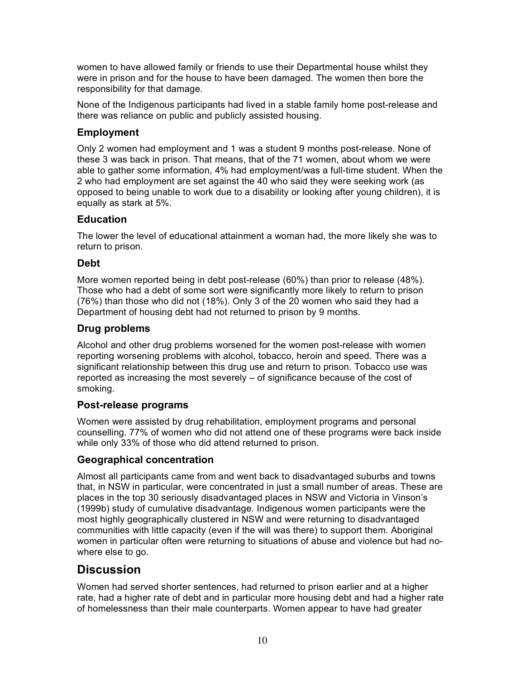women to have allowed family or friends to use their Departmental house whilst they were in prison and for the house to have been damaged. The women then bore the responsibility for that damage.

None of the Indigenous participants had lived in a stable family home post-release and there was reliance on public and publicly assisted housing.

#### **Employment**

Only 2 women had employment and 1 was a student 9 months post-release. None of these 3 was back in prison. That means, that of the 71 women, about whom we were able to gather some information, 4% had employment/was a full-time student. When the 2 who had employment are set against the 40 who said they were seeking work (as opposed to being unable to work due to a disability or looking after young children), it is equally as stark at 5%.

#### **Education**

The lower the level of educational attainment a woman had, the more likely she was to return to prison.

#### **Debt**

More women reported being in debt post-release (60%) than prior to release (48%). Those who had a debt of some sort were significantly more likely to return to prison (76%) than those who did not (18%). Only 3 of the 20 women who said they had a Department of housing debt had not returned to prison by 9 months.

#### **Drug problems**

Alcohol and other drug problems worsened for the women post-release with women reporting worsening problems with alcohol, tobacco, heroin and speed. There was a significant relationship between this drug use and return to prison. Tobacco use was reported as increasing the most severely – of significance because of the cost of smoking.

#### **Post-release programs**

Women were assisted by drug rehabilitation, employment programs and personal counselling. 77% of women who did not attend one of these programs were back inside while only 33% of those who did attend returned to prison.

#### **Geographical concentration**

Almost all participants came from and went back to disadvantaged suburbs and towns that, in NSW in particular, were concentrated in just a small number of areas. These are places in the top 30 seriously disadvantaged places in NSW and Victoria in Vinson's (1999b) study of cumulative disadvantage. Indigenous women participants were the most highly geographically clustered in NSW and were returning to disadvantaged communities with little capacity (even if the will was there) to support them. Aboriginal women in particular often were returning to situations of abuse and violence but had nowhere else to go.

## **Discussion**

Women had served shorter sentences, had returned to prison earlier and at a higher rate, had a higher rate of debt and in particular more housing debt and had a higher rate of homelessness than their male counterparts. Women appear to have had greater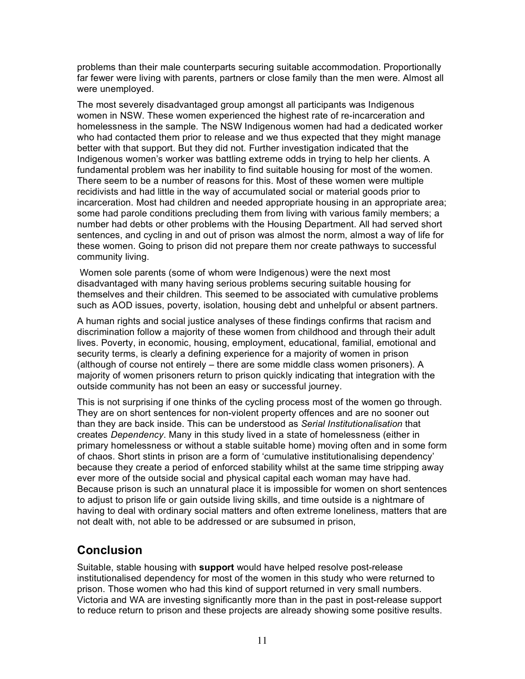problems than their male counterparts securing suitable accommodation. Proportionally far fewer were living with parents, partners or close family than the men were. Almost all were unemployed.

The most severely disadvantaged group amongst all participants was Indigenous women in NSW. These women experienced the highest rate of re-incarceration and homelessness in the sample. The NSW Indigenous women had had a dedicated worker who had contacted them prior to release and we thus expected that they might manage better with that support. But they did not. Further investigation indicated that the Indigenous women's worker was battling extreme odds in trying to help her clients. A fundamental problem was her inability to find suitable housing for most of the women. There seem to be a number of reasons for this. Most of these women were multiple recidivists and had little in the way of accumulated social or material goods prior to incarceration. Most had children and needed appropriate housing in an appropriate area; some had parole conditions precluding them from living with various family members; a number had debts or other problems with the Housing Department. All had served short sentences, and cycling in and out of prison was almost the norm, almost a way of life for these women. Going to prison did not prepare them nor create pathways to successful community living.

Women sole parents (some of whom were Indigenous) were the next most disadvantaged with many having serious problems securing suitable housing for themselves and their children. This seemed to be associated with cumulative problems such as AOD issues, poverty, isolation, housing debt and unhelpful or absent partners.

A human rights and social justice analyses of these findings confirms that racism and discrimination follow a majority of these women from childhood and through their adult lives. Poverty, in economic, housing, employment, educational, familial, emotional and security terms, is clearly a defining experience for a majority of women in prison (although of course not entirely – there are some middle class women prisoners). A majority of women prisoners return to prison quickly indicating that integration with the outside community has not been an easy or successful journey.

This is not surprising if one thinks of the cycling process most of the women go through. They are on short sentences for non-violent property offences and are no sooner out than they are back inside. This can be understood as *Serial Institutionalisation* that creates *Dependency*. Many in this study lived in a state of homelessness (either in primary homelessness or without a stable suitable home) moving often and in some form of chaos. Short stints in prison are a form of 'cumulative institutionalising dependency' because they create a period of enforced stability whilst at the same time stripping away ever more of the outside social and physical capital each woman may have had. Because prison is such an unnatural place it is impossible for women on short sentences to adjust to prison life or gain outside living skills, and time outside is a nightmare of having to deal with ordinary social matters and often extreme loneliness, matters that are not dealt with, not able to be addressed or are subsumed in prison,

### **Conclusion**

Suitable, stable housing with **support** would have helped resolve post-release institutionalised dependency for most of the women in this study who were returned to prison. Those women who had this kind of support returned in very small numbers. Victoria and WA are investing significantly more than in the past in post-release support to reduce return to prison and these projects are already showing some positive results.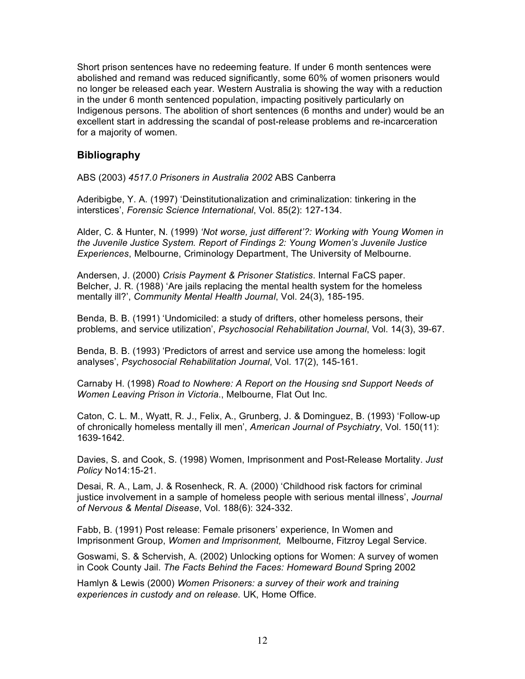Short prison sentences have no redeeming feature. If under 6 month sentences were abolished and remand was reduced significantly, some 60% of women prisoners would no longer be released each year. Western Australia is showing the way with a reduction in the under 6 month sentenced population, impacting positively particularly on Indigenous persons. The abolition of short sentences (6 months and under) would be an excellent start in addressing the scandal of post-release problems and re-incarceration for a majority of women.

#### **Bibliography**

ABS (2003) *4517.0 Prisoners in Australia 2002* ABS Canberra

Aderibigbe, Y. A. (1997) 'Deinstitutionalization and criminalization: tinkering in the interstices', *Forensic Science International*, Vol. 85(2): 127-134.

Alder, C. & Hunter, N. (1999) *'Not worse, just different'?: Working with Young Women in the Juvenile Justice System. Report of Findings 2: Young Women's Juvenile Justice Experiences*, Melbourne, Criminology Department, The University of Melbourne.

Andersen, J. (2000) *Crisis Payment & Prisoner Statistics*. Internal FaCS paper. Belcher, J. R. (1988) 'Are jails replacing the mental health system for the homeless mentally ill?', *Community Mental Health Journal*, Vol. 24(3), 185-195.

Benda, B. B. (1991) 'Undomiciled: a study of drifters, other homeless persons, their problems, and service utilization', *Psychosocial Rehabilitation Journal*, Vol. 14(3), 39-67.

Benda, B. B. (1993) 'Predictors of arrest and service use among the homeless: logit analyses', *Psychosocial Rehabilitation Journal*, Vol. 17(2), 145-161.

Carnaby H. (1998) *Road to Nowhere: A Report on the Housing snd Support Needs of Women Leaving Prison in Victoria*., Melbourne, Flat Out Inc.

Caton, C. L. M., Wyatt, R. J., Felix, A., Grunberg, J. & Dominguez, B. (1993) 'Follow-up of chronically homeless mentally ill men', *American Journal of Psychiatry*, Vol. 150(11): 1639-1642.

Davies, S. and Cook, S. (1998) Women, Imprisonment and Post-Release Mortality. *Just Policy* No14:15-21.

Desai, R. A., Lam, J. & Rosenheck, R. A. (2000) 'Childhood risk factors for criminal justice involvement in a sample of homeless people with serious mental illness', *Journal of Nervous & Mental Disease*, Vol. 188(6): 324-332.

Fabb, B. (1991) Post release: Female prisoners' experience, In Women and Imprisonment Group, *Women and Imprisonment,* Melbourne, Fitzroy Legal Service.

Goswami, S. & Schervish, A. (2002) Unlocking options for Women: A survey of women in Cook County Jail. *The Facts Behind the Faces: Homeward Bound* Spring 2002

Hamlyn & Lewis (2000) *Women Prisoners: a survey of their work and training experiences in custody and on release*. UK, Home Office.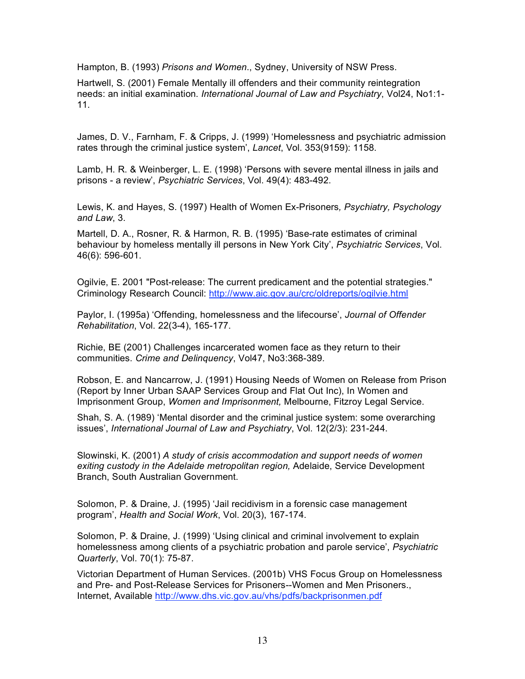Hampton, B. (1993) *Prisons and Women*., Sydney, University of NSW Press.

Hartwell, S. (2001) Female Mentally ill offenders and their community reintegration needs: an initial examination. *International Journal of Law and Psychiatry*, Vol24, No1:1- 11.

James, D. V., Farnham, F. & Cripps, J. (1999) 'Homelessness and psychiatric admission rates through the criminal justice system', *Lancet*, Vol. 353(9159): 1158.

Lamb, H. R. & Weinberger, L. E. (1998) 'Persons with severe mental illness in jails and prisons - a review', *Psychiatric Services*, Vol. 49(4): 483-492.

Lewis, K. and Hayes, S. (1997) Health of Women Ex-Prisoners*, Psychiatry, Psychology and Law*, 3.

Martell, D. A., Rosner, R. & Harmon, R. B. (1995) 'Base-rate estimates of criminal behaviour by homeless mentally ill persons in New York City', *Psychiatric Services*, Vol. 46(6): 596-601.

Ogilvie, E. 2001 "Post-release: The current predicament and the potential strategies." Criminology Research Council: http://www.aic.gov.au/crc/oldreports/ogilvie.html

Paylor, I. (1995a) 'Offending, homelessness and the lifecourse', *Journal of Offender Rehabilitation*, Vol. 22(3-4), 165-177.

Richie, BE (2001) Challenges incarcerated women face as they return to their communities. *Crime and Delinquency*, Vol47, No3:368-389.

Robson, E. and Nancarrow, J. (1991) Housing Needs of Women on Release from Prison (Report by Inner Urban SAAP Services Group and Flat Out Inc), In Women and Imprisonment Group, *Women and Imprisonment,* Melbourne, Fitzroy Legal Service.

Shah, S. A. (1989) 'Mental disorder and the criminal justice system: some overarching issues', *International Journal of Law and Psychiatry*, Vol. 12(2/3): 231-244.

Slowinski, K. (2001) *A study of crisis accommodation and support needs of women exiting custody in the Adelaide metropolitan region,* Adelaide, Service Development Branch, South Australian Government.

Solomon, P. & Draine, J. (1995) 'Jail recidivism in a forensic case management program', *Health and Social Work*, Vol. 20(3), 167-174.

Solomon, P. & Draine, J. (1999) 'Using clinical and criminal involvement to explain homelessness among clients of a psychiatric probation and parole service', *Psychiatric Quarterly*, Vol. 70(1): 75-87.

Victorian Department of Human Services. (2001b) VHS Focus Group on Homelessness and Pre- and Post-Release Services for Prisoners--Women and Men Prisoners., Internet, Available http://www.dhs.vic.gov.au/vhs/pdfs/backprisonmen.pdf